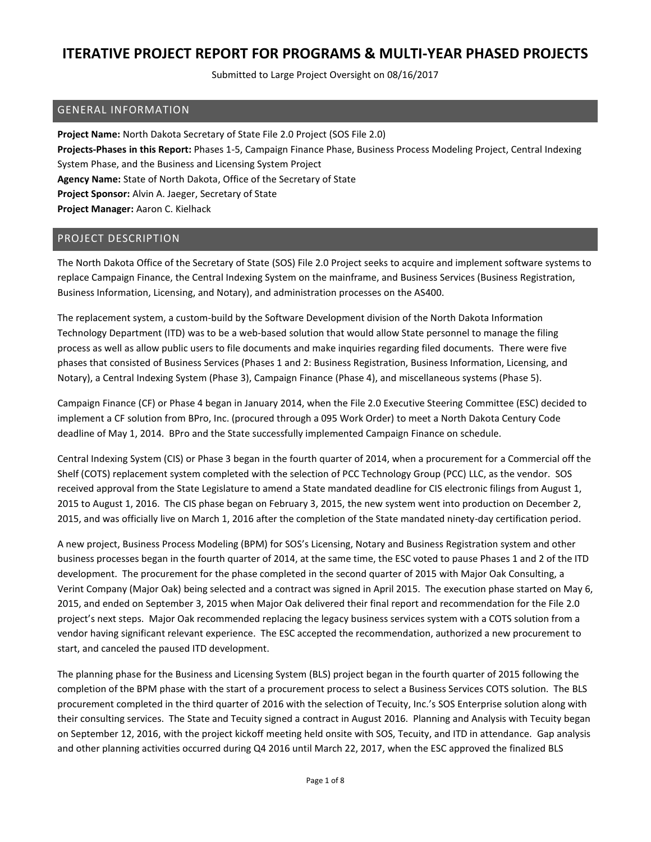Submitted to Large Project Oversight on 08/16/2017

#### GENERAL INFORMATION

**Project Name:** North Dakota Secretary of State File 2.0 Project (SOS File 2.0) **Projects-Phases in this Report:** Phases 1-5, Campaign Finance Phase, Business Process Modeling Project, Central Indexing System Phase, and the Business and Licensing System Project **Agency Name:** State of North Dakota, Office of the Secretary of State **Project Sponsor:** Alvin A. Jaeger, Secretary of State **Project Manager:** Aaron C. Kielhack

#### PROJECT DESCRIPTION

The North Dakota Office of the Secretary of State (SOS) File 2.0 Project seeks to acquire and implement software systems to replace Campaign Finance, the Central Indexing System on the mainframe, and Business Services (Business Registration, Business Information, Licensing, and Notary), and administration processes on the AS400.

The replacement system, a custom-build by the Software Development division of the North Dakota Information Technology Department (ITD) was to be a web-based solution that would allow State personnel to manage the filing process as well as allow public users to file documents and make inquiries regarding filed documents. There were five phases that consisted of Business Services (Phases 1 and 2: Business Registration, Business Information, Licensing, and Notary), a Central Indexing System (Phase 3), Campaign Finance (Phase 4), and miscellaneous systems (Phase 5).

Campaign Finance (CF) or Phase 4 began in January 2014, when the File 2.0 Executive Steering Committee (ESC) decided to implement a CF solution from BPro, Inc. (procured through a 095 Work Order) to meet a North Dakota Century Code deadline of May 1, 2014. BPro and the State successfully implemented Campaign Finance on schedule.

Central Indexing System (CIS) or Phase 3 began in the fourth quarter of 2014, when a procurement for a Commercial off the Shelf (COTS) replacement system completed with the selection of PCC Technology Group (PCC) LLC, as the vendor. SOS received approval from the State Legislature to amend a State mandated deadline for CIS electronic filings from August 1, 2015 to August 1, 2016. The CIS phase began on February 3, 2015, the new system went into production on December 2, 2015, and was officially live on March 1, 2016 after the completion of the State mandated ninety-day certification period.

A new project, Business Process Modeling (BPM) for SOS's Licensing, Notary and Business Registration system and other business processes began in the fourth quarter of 2014, at the same time, the ESC voted to pause Phases 1 and 2 of the ITD development. The procurement for the phase completed in the second quarter of 2015 with Major Oak Consulting, a Verint Company (Major Oak) being selected and a contract was signed in April 2015. The execution phase started on May 6, 2015, and ended on September 3, 2015 when Major Oak delivered their final report and recommendation for the File 2.0 project's next steps. Major Oak recommended replacing the legacy business services system with a COTS solution from a vendor having significant relevant experience. The ESC accepted the recommendation, authorized a new procurement to start, and canceled the paused ITD development.

The planning phase for the Business and Licensing System (BLS) project began in the fourth quarter of 2015 following the completion of the BPM phase with the start of a procurement process to select a Business Services COTS solution. The BLS procurement completed in the third quarter of 2016 with the selection of Tecuity, Inc.'s SOS Enterprise solution along with their consulting services. The State and Tecuity signed a contract in August 2016. Planning and Analysis with Tecuity began on September 12, 2016, with the project kickoff meeting held onsite with SOS, Tecuity, and ITD in attendance. Gap analysis and other planning activities occurred during Q4 2016 until March 22, 2017, when the ESC approved the finalized BLS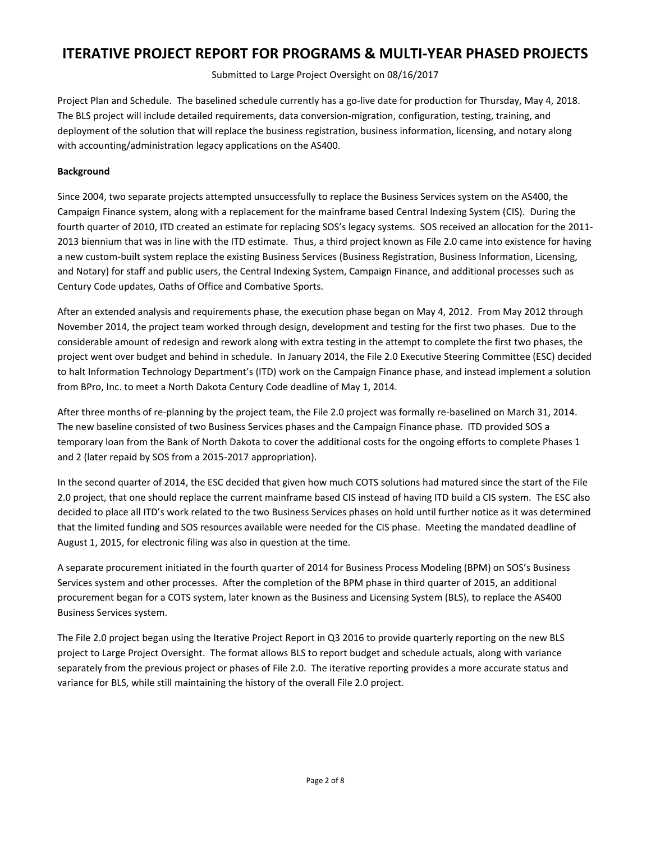Submitted to Large Project Oversight on 08/16/2017

Project Plan and Schedule. The baselined schedule currently has a go-live date for production for Thursday, May 4, 2018. The BLS project will include detailed requirements, data conversion-migration, configuration, testing, training, and deployment of the solution that will replace the business registration, business information, licensing, and notary along with accounting/administration legacy applications on the AS400.

#### **Background**

Since 2004, two separate projects attempted unsuccessfully to replace the Business Services system on the AS400, the Campaign Finance system, along with a replacement for the mainframe based Central Indexing System (CIS). During the fourth quarter of 2010, ITD created an estimate for replacing SOS's legacy systems. SOS received an allocation for the 2011- 2013 biennium that was in line with the ITD estimate. Thus, a third project known as File 2.0 came into existence for having a new custom-built system replace the existing Business Services (Business Registration, Business Information, Licensing, and Notary) for staff and public users, the Central Indexing System, Campaign Finance, and additional processes such as Century Code updates, Oaths of Office and Combative Sports.

After an extended analysis and requirements phase, the execution phase began on May 4, 2012. From May 2012 through November 2014, the project team worked through design, development and testing for the first two phases. Due to the considerable amount of redesign and rework along with extra testing in the attempt to complete the first two phases, the project went over budget and behind in schedule. In January 2014, the File 2.0 Executive Steering Committee (ESC) decided to halt Information Technology Department's (ITD) work on the Campaign Finance phase, and instead implement a solution from BPro, Inc. to meet a North Dakota Century Code deadline of May 1, 2014.

After three months of re-planning by the project team, the File 2.0 project was formally re-baselined on March 31, 2014. The new baseline consisted of two Business Services phases and the Campaign Finance phase. ITD provided SOS a temporary loan from the Bank of North Dakota to cover the additional costs for the ongoing efforts to complete Phases 1 and 2 (later repaid by SOS from a 2015-2017 appropriation).

In the second quarter of 2014, the ESC decided that given how much COTS solutions had matured since the start of the File 2.0 project, that one should replace the current mainframe based CIS instead of having ITD build a CIS system. The ESC also decided to place all ITD's work related to the two Business Services phases on hold until further notice as it was determined that the limited funding and SOS resources available were needed for the CIS phase. Meeting the mandated deadline of August 1, 2015, for electronic filing was also in question at the time.

A separate procurement initiated in the fourth quarter of 2014 for Business Process Modeling (BPM) on SOS's Business Services system and other processes. After the completion of the BPM phase in third quarter of 2015, an additional procurement began for a COTS system, later known as the Business and Licensing System (BLS), to replace the AS400 Business Services system.

The File 2.0 project began using the Iterative Project Report in Q3 2016 to provide quarterly reporting on the new BLS project to Large Project Oversight. The format allows BLS to report budget and schedule actuals, along with variance separately from the previous project or phases of File 2.0. The iterative reporting provides a more accurate status and variance for BLS, while still maintaining the history of the overall File 2.0 project.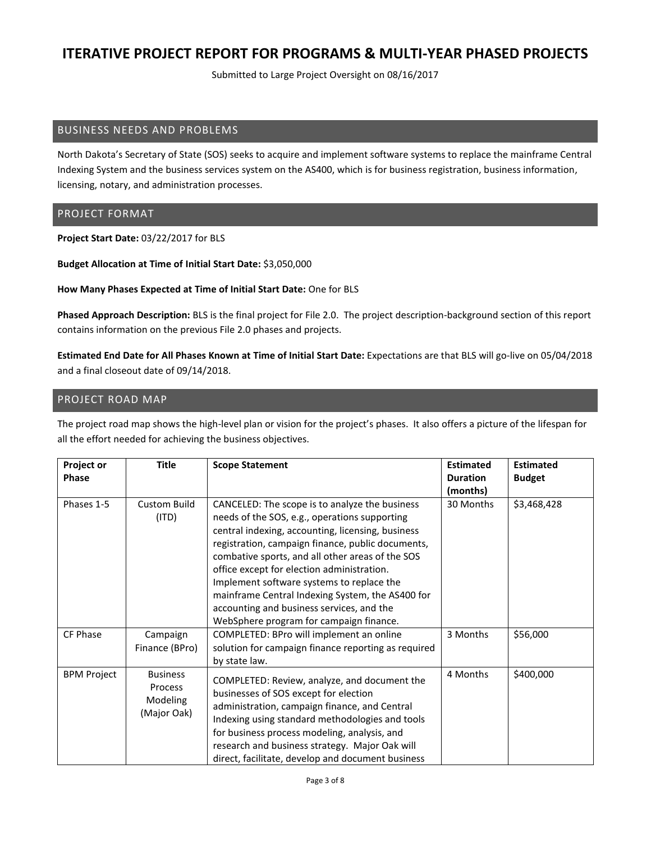Submitted to Large Project Oversight on 08/16/2017

#### BUSINESS NEEDS AND PROBLEMS

North Dakota's Secretary of State (SOS) seeks to acquire and implement software systems to replace the mainframe Central Indexing System and the business services system on the AS400, which is for business registration, business information, licensing, notary, and administration processes.

#### PROJECT FORMAT

**Project Start Date:** 03/22/2017 for BLS

**Budget Allocation at Time of Initial Start Date:** \$3,050,000

**How Many Phases Expected at Time of Initial Start Date:** One for BLS

**Phased Approach Description:** BLS is the final project for File 2.0. The project description-background section of this report contains information on the previous File 2.0 phases and projects.

**Estimated End Date for All Phases Known at Time of Initial Start Date:** Expectations are that BLS will go-live on 05/04/2018 and a final closeout date of 09/14/2018.

### PROJECT ROAD MAP

The project road map shows the high-level plan or vision for the project's phases. It also offers a picture of the lifespan for all the effort needed for achieving the business objectives.

| <b>Project or</b>  | <b>Title</b>                                                 | <b>Scope Statement</b>                                                                                                                                                                                                                                                                                                                                                                                                                                                                               | <b>Estimated</b> | <b>Estimated</b> |
|--------------------|--------------------------------------------------------------|------------------------------------------------------------------------------------------------------------------------------------------------------------------------------------------------------------------------------------------------------------------------------------------------------------------------------------------------------------------------------------------------------------------------------------------------------------------------------------------------------|------------------|------------------|
| <b>Phase</b>       |                                                              |                                                                                                                                                                                                                                                                                                                                                                                                                                                                                                      | <b>Duration</b>  | <b>Budget</b>    |
|                    |                                                              |                                                                                                                                                                                                                                                                                                                                                                                                                                                                                                      | (months)         |                  |
| Phases 1-5         | <b>Custom Build</b><br>(ITD)                                 | CANCELED: The scope is to analyze the business<br>needs of the SOS, e.g., operations supporting<br>central indexing, accounting, licensing, business<br>registration, campaign finance, public documents,<br>combative sports, and all other areas of the SOS<br>office except for election administration.<br>Implement software systems to replace the<br>mainframe Central Indexing System, the AS400 for<br>accounting and business services, and the<br>WebSphere program for campaign finance. | 30 Months        | \$3,468,428      |
| CF Phase           | Campaign<br>Finance (BPro)                                   | COMPLETED: BPro will implement an online<br>solution for campaign finance reporting as required<br>by state law.                                                                                                                                                                                                                                                                                                                                                                                     | 3 Months         | \$56,000         |
| <b>BPM Project</b> | <b>Business</b><br>Process<br><b>Modeling</b><br>(Major Oak) | COMPLETED: Review, analyze, and document the<br>businesses of SOS except for election<br>administration, campaign finance, and Central<br>Indexing using standard methodologies and tools<br>for business process modeling, analysis, and<br>research and business strategy. Major Oak will<br>direct, facilitate, develop and document business                                                                                                                                                     | 4 Months         | \$400,000        |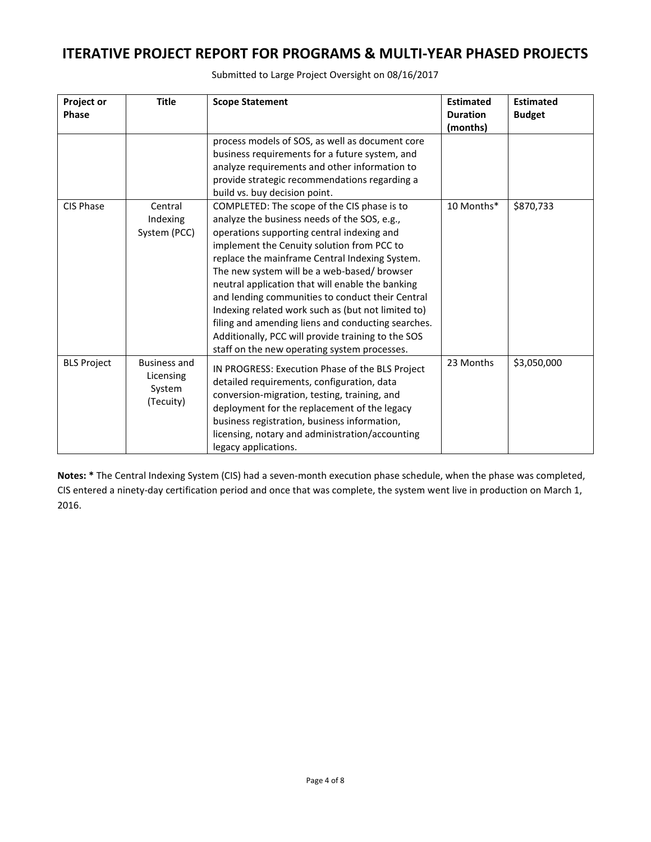| Project or<br><b>Phase</b> | <b>Title</b>        | <b>Scope Statement</b>                             | <b>Estimated</b><br><b>Duration</b> | <b>Estimated</b><br><b>Budget</b> |
|----------------------------|---------------------|----------------------------------------------------|-------------------------------------|-----------------------------------|
|                            |                     | process models of SOS, as well as document core    | (months)                            |                                   |
|                            |                     | business requirements for a future system, and     |                                     |                                   |
|                            |                     | analyze requirements and other information to      |                                     |                                   |
|                            |                     | provide strategic recommendations regarding a      |                                     |                                   |
|                            |                     | build vs. buy decision point.                      |                                     |                                   |
| CIS Phase                  | Central             | COMPLETED: The scope of the CIS phase is to        | 10 Months*                          | \$870,733                         |
|                            | Indexing            | analyze the business needs of the SOS, e.g.,       |                                     |                                   |
|                            | System (PCC)        | operations supporting central indexing and         |                                     |                                   |
|                            |                     | implement the Cenuity solution from PCC to         |                                     |                                   |
|                            |                     | replace the mainframe Central Indexing System.     |                                     |                                   |
|                            |                     | The new system will be a web-based/ browser        |                                     |                                   |
|                            |                     | neutral application that will enable the banking   |                                     |                                   |
|                            |                     | and lending communities to conduct their Central   |                                     |                                   |
|                            |                     | Indexing related work such as (but not limited to) |                                     |                                   |
|                            |                     | filing and amending liens and conducting searches. |                                     |                                   |
|                            |                     | Additionally, PCC will provide training to the SOS |                                     |                                   |
|                            |                     | staff on the new operating system processes.       |                                     |                                   |
| <b>BLS Project</b>         | <b>Business and</b> | IN PROGRESS: Execution Phase of the BLS Project    | 23 Months                           | \$3,050,000                       |
|                            | Licensing           | detailed requirements, configuration, data         |                                     |                                   |
|                            | System              | conversion-migration, testing, training, and       |                                     |                                   |
|                            | (Tecuity)           | deployment for the replacement of the legacy       |                                     |                                   |
|                            |                     | business registration, business information,       |                                     |                                   |
|                            |                     | licensing, notary and administration/accounting    |                                     |                                   |
|                            |                     | legacy applications.                               |                                     |                                   |

Submitted to Large Project Oversight on 08/16/2017

**Notes: \*** The Central Indexing System (CIS) had a seven-month execution phase schedule, when the phase was completed, CIS entered a ninety-day certification period and once that was complete, the system went live in production on March 1, 2016.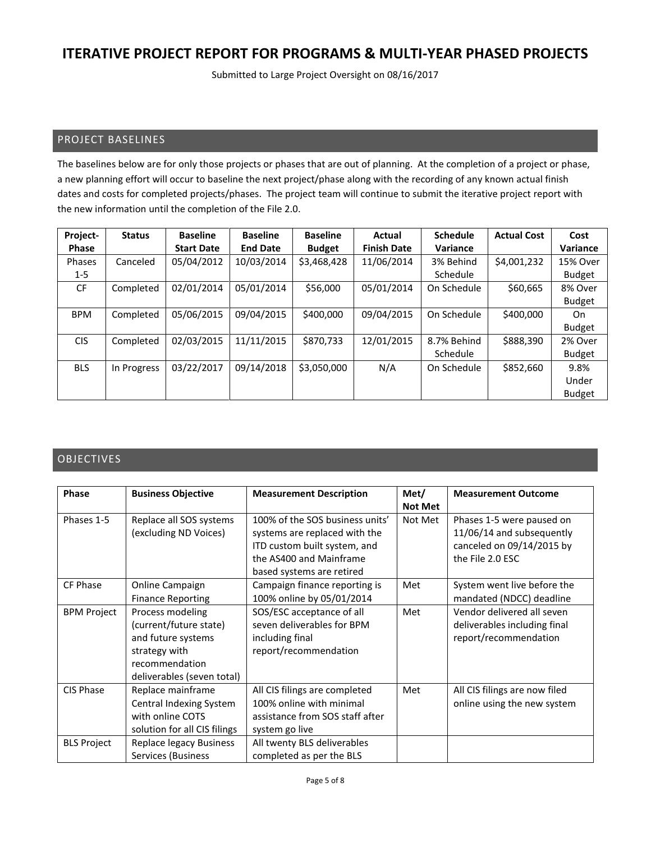Submitted to Large Project Oversight on 08/16/2017

### PROJECT BASELINES

The baselines below are for only those projects or phases that are out of planning. At the completion of a project or phase, a new planning effort will occur to baseline the next project/phase along with the recording of any known actual finish dates and costs for completed projects/phases. The project team will continue to submit the iterative project report with the new information until the completion of the File 2.0.

| Project-     | <b>Status</b> | <b>Baseline</b>   | <b>Baseline</b> | <b>Baseline</b> | Actual             | <b>Schedule</b> | <b>Actual Cost</b> | Cost          |
|--------------|---------------|-------------------|-----------------|-----------------|--------------------|-----------------|--------------------|---------------|
| <b>Phase</b> |               | <b>Start Date</b> | <b>End Date</b> | <b>Budget</b>   | <b>Finish Date</b> | Variance        |                    | Variance      |
| Phases       | Canceled      | 05/04/2012        | 10/03/2014      | \$3,468,428     | 11/06/2014         | 3% Behind       | \$4,001,232        | 15% Over      |
| $1 - 5$      |               |                   |                 |                 |                    | Schedule        |                    | <b>Budget</b> |
| CF           | Completed     | 02/01/2014        | 05/01/2014      | \$56,000        | 05/01/2014         | On Schedule     | \$60,665           | 8% Over       |
|              |               |                   |                 |                 |                    |                 |                    | <b>Budget</b> |
| <b>BPM</b>   | Completed     | 05/06/2015        | 09/04/2015      | \$400,000       | 09/04/2015         | On Schedule     | \$400,000          | On            |
|              |               |                   |                 |                 |                    |                 |                    | <b>Budget</b> |
| <b>CIS</b>   | Completed     | 02/03/2015        | 11/11/2015      | \$870,733       | 12/01/2015         | 8.7% Behind     | \$888,390          | 2% Over       |
|              |               |                   |                 |                 |                    | Schedule        |                    | <b>Budget</b> |
| <b>BLS</b>   | In Progress   | 03/22/2017        | 09/14/2018      | \$3,050,000     | N/A                | On Schedule     | \$852,660          | 9.8%          |
|              |               |                   |                 |                 |                    |                 |                    | Under         |
|              |               |                   |                 |                 |                    |                 |                    | <b>Budget</b> |

### OBJECTIVES

| <b>Phase</b>       | <b>Business Objective</b>    | <b>Measurement Description</b>  | Met/           | <b>Measurement Outcome</b>    |
|--------------------|------------------------------|---------------------------------|----------------|-------------------------------|
|                    |                              |                                 | <b>Not Met</b> |                               |
| Phases 1-5         | Replace all SOS systems      | 100% of the SOS business units' | Not Met        | Phases 1-5 were paused on     |
|                    | (excluding ND Voices)        | systems are replaced with the   |                | 11/06/14 and subsequently     |
|                    |                              | ITD custom built system, and    |                | canceled on 09/14/2015 by     |
|                    |                              | the AS400 and Mainframe         |                | the File 2.0 ESC              |
|                    |                              | based systems are retired       |                |                               |
| CF Phase           | Online Campaign              | Campaign finance reporting is   | Met            | System went live before the   |
|                    | <b>Finance Reporting</b>     | 100% online by 05/01/2014       |                | mandated (NDCC) deadline      |
| <b>BPM Project</b> | Process modeling             | SOS/ESC acceptance of all       | Met            | Vendor delivered all seven    |
|                    | (current/future state)       | seven deliverables for BPM      |                | deliverables including final  |
|                    | and future systems           | including final                 |                | report/recommendation         |
|                    | strategy with                | report/recommendation           |                |                               |
|                    | recommendation               |                                 |                |                               |
|                    | deliverables (seven total)   |                                 |                |                               |
| CIS Phase          | Replace mainframe            | All CIS filings are completed   | Met            | All CIS filings are now filed |
|                    | Central Indexing System      | 100% online with minimal        |                | online using the new system   |
|                    | with online COTS             | assistance from SOS staff after |                |                               |
|                    | solution for all CIS filings | system go live                  |                |                               |
| <b>BLS Project</b> | Replace legacy Business      | All twenty BLS deliverables     |                |                               |
|                    | Services (Business           | completed as per the BLS        |                |                               |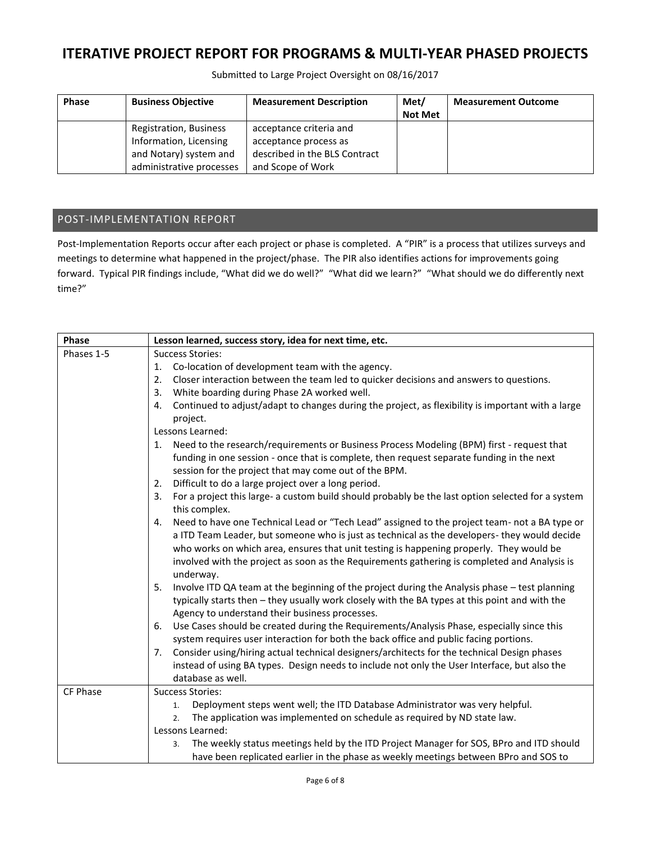Submitted to Large Project Oversight on 08/16/2017

| <b>Phase</b> | <b>Business Objective</b>     | <b>Measurement Description</b> | Met/           | <b>Measurement Outcome</b> |
|--------------|-------------------------------|--------------------------------|----------------|----------------------------|
|              |                               |                                | <b>Not Met</b> |                            |
|              | <b>Registration, Business</b> | acceptance criteria and        |                |                            |
|              | Information, Licensing        | acceptance process as          |                |                            |
|              | and Notary) system and        | described in the BLS Contract  |                |                            |
|              | administrative processes      | and Scope of Work              |                |                            |

### POST-IMPLEMENTATION REPORT

Post-Implementation Reports occur after each project or phase is completed. A "PIR" is a process that utilizes surveys and meetings to determine what happened in the project/phase. The PIR also identifies actions for improvements going forward. Typical PIR findings include, "What did we do well?" "What did we learn?" "What should we do differently next time?"

| Phase      | Lesson learned, success story, idea for next time, etc.                                                                  |  |  |  |  |
|------------|--------------------------------------------------------------------------------------------------------------------------|--|--|--|--|
| Phases 1-5 | <b>Success Stories:</b>                                                                                                  |  |  |  |  |
|            | Co-location of development team with the agency.<br>1.                                                                   |  |  |  |  |
|            | Closer interaction between the team led to quicker decisions and answers to questions.<br>2.                             |  |  |  |  |
|            | White boarding during Phase 2A worked well.<br>3.                                                                        |  |  |  |  |
|            | Continued to adjust/adapt to changes during the project, as flexibility is important with a large<br>4.<br>project.      |  |  |  |  |
|            | Lessons Learned:                                                                                                         |  |  |  |  |
|            | Need to the research/requirements or Business Process Modeling (BPM) first - request that<br>1.                          |  |  |  |  |
|            | funding in one session - once that is complete, then request separate funding in the next                                |  |  |  |  |
|            | session for the project that may come out of the BPM.                                                                    |  |  |  |  |
|            | Difficult to do a large project over a long period.<br>2.                                                                |  |  |  |  |
|            | For a project this large- a custom build should probably be the last option selected for a system<br>3.<br>this complex. |  |  |  |  |
|            | Need to have one Technical Lead or "Tech Lead" assigned to the project team- not a BA type or<br>4.                      |  |  |  |  |
|            | a ITD Team Leader, but someone who is just as technical as the developers- they would decide                             |  |  |  |  |
|            | who works on which area, ensures that unit testing is happening properly. They would be                                  |  |  |  |  |
|            | involved with the project as soon as the Requirements gathering is completed and Analysis is                             |  |  |  |  |
|            | underway.                                                                                                                |  |  |  |  |
|            | Involve ITD QA team at the beginning of the project during the Analysis phase - test planning<br>5.                      |  |  |  |  |
|            | typically starts then - they usually work closely with the BA types at this point and with the                           |  |  |  |  |
|            | Agency to understand their business processes.                                                                           |  |  |  |  |
|            | Use Cases should be created during the Requirements/Analysis Phase, especially since this<br>6.                          |  |  |  |  |
|            | system requires user interaction for both the back office and public facing portions.                                    |  |  |  |  |
|            | Consider using/hiring actual technical designers/architects for the technical Design phases<br>7.                        |  |  |  |  |
|            | instead of using BA types. Design needs to include not only the User Interface, but also the                             |  |  |  |  |
|            | database as well.                                                                                                        |  |  |  |  |
| CF Phase   | <b>Success Stories:</b>                                                                                                  |  |  |  |  |
|            | Deployment steps went well; the ITD Database Administrator was very helpful.<br>1.                                       |  |  |  |  |
|            | The application was implemented on schedule as required by ND state law.<br>2.                                           |  |  |  |  |
|            | Lessons Learned:                                                                                                         |  |  |  |  |
|            | The weekly status meetings held by the ITD Project Manager for SOS, BPro and ITD should<br>3.                            |  |  |  |  |
|            | have been replicated earlier in the phase as weekly meetings between BPro and SOS to                                     |  |  |  |  |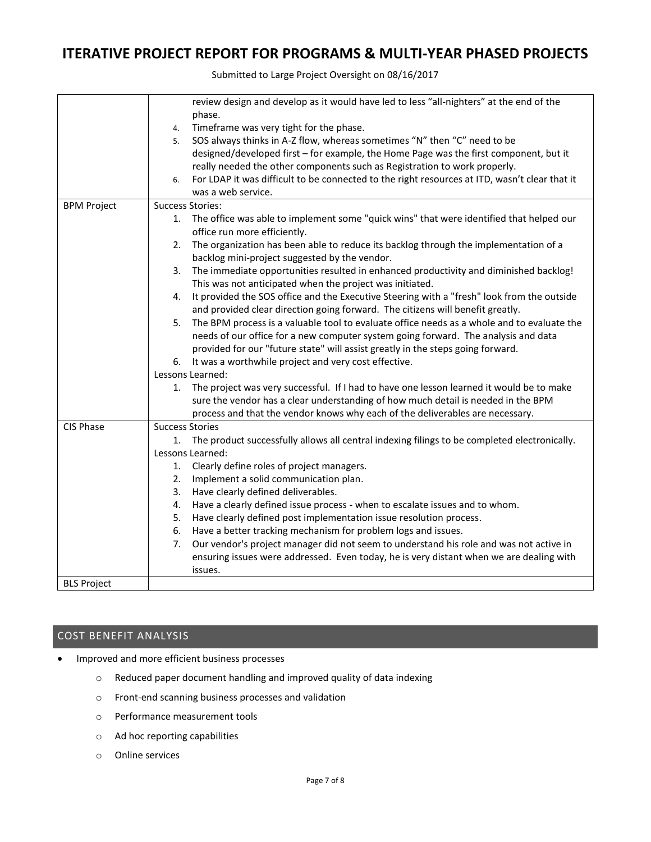Submitted to Large Project Oversight on 08/16/2017

|                    | review design and develop as it would have led to less "all-nighters" at the end of the             |
|--------------------|-----------------------------------------------------------------------------------------------------|
|                    | phase.                                                                                              |
|                    | Timeframe was very tight for the phase.<br>4.                                                       |
|                    | SOS always thinks in A-Z flow, whereas sometimes "N" then "C" need to be<br>5.                      |
|                    | designed/developed first - for example, the Home Page was the first component, but it               |
|                    | really needed the other components such as Registration to work properly.                           |
|                    | For LDAP it was difficult to be connected to the right resources at ITD, wasn't clear that it<br>6. |
|                    | was a web service.                                                                                  |
| <b>BPM Project</b> | <b>Success Stories:</b>                                                                             |
|                    | The office was able to implement some "quick wins" that were identified that helped our<br>1.       |
|                    | office run more efficiently.                                                                        |
|                    | The organization has been able to reduce its backlog through the implementation of a<br>2.          |
|                    | backlog mini-project suggested by the vendor.                                                       |
|                    | The immediate opportunities resulted in enhanced productivity and diminished backlog!<br>3.         |
|                    | This was not anticipated when the project was initiated.                                            |
|                    | It provided the SOS office and the Executive Steering with a "fresh" look from the outside<br>4.    |
|                    | and provided clear direction going forward. The citizens will benefit greatly.                      |
|                    | The BPM process is a valuable tool to evaluate office needs as a whole and to evaluate the<br>5.    |
|                    | needs of our office for a new computer system going forward. The analysis and data                  |
|                    | provided for our "future state" will assist greatly in the steps going forward.                     |
|                    | 6. It was a worthwhile project and very cost effective.                                             |
|                    | Lessons Learned:                                                                                    |
|                    | The project was very successful. If I had to have one lesson learned it would be to make<br>1.      |
|                    | sure the vendor has a clear understanding of how much detail is needed in the BPM                   |
|                    | process and that the vendor knows why each of the deliverables are necessary.                       |
| CIS Phase          | <b>Success Stories</b>                                                                              |
|                    | The product successfully allows all central indexing filings to be completed electronically.<br>1.  |
|                    | Lessons Learned:                                                                                    |
|                    | Clearly define roles of project managers.<br>1.                                                     |
|                    | Implement a solid communication plan.<br>2.                                                         |
|                    | Have clearly defined deliverables.<br>3.                                                            |
|                    | Have a clearly defined issue process - when to escalate issues and to whom.<br>4.                   |
|                    | Have clearly defined post implementation issue resolution process.<br>5.                            |
|                    | Have a better tracking mechanism for problem logs and issues.<br>6.                                 |
|                    | Our vendor's project manager did not seem to understand his role and was not active in<br>7.        |
|                    | ensuring issues were addressed. Even today, he is very distant when we are dealing with             |
|                    | issues.                                                                                             |
| <b>BLS Project</b> |                                                                                                     |

### COST BENEFIT ANALYSIS

- Improved and more efficient business processes
	- o Reduced paper document handling and improved quality of data indexing
	- o Front-end scanning business processes and validation
	- o Performance measurement tools
	- o Ad hoc reporting capabilities
	- o Online services